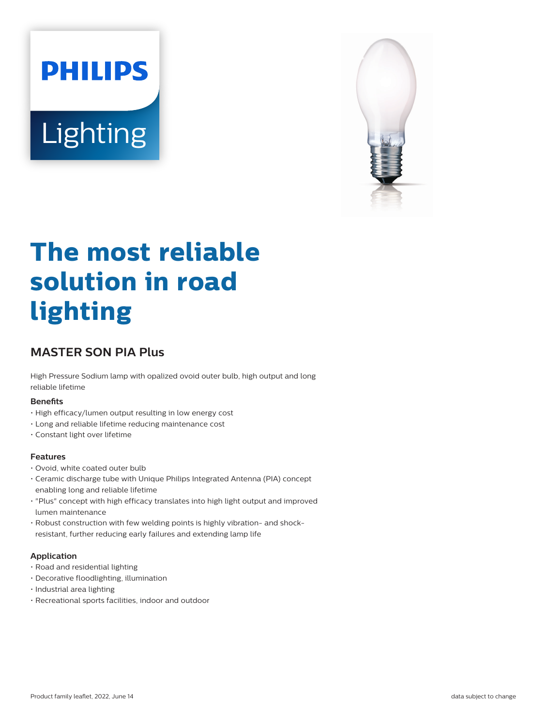



# **The most reliable solution in road lighting**

# **MASTER SON PIA Plus**

High Pressure Sodium lamp with opalized ovoid outer bulb, high output and long reliable lifetime

#### **Benefits**

- High efficacy/lumen output resulting in low energy cost
- Long and reliable lifetime reducing maintenance cost
- Constant light over lifetime

#### **Features**

- Ovoid, white coated outer bulb
- Ceramic discharge tube with Unique Philips Integrated Antenna (PIA) concept enabling long and reliable lifetime
- "Plus" concept with high efficacy translates into high light output and improved lumen maintenance
- Robust construction with few welding points is highly vibration- and shockresistant, further reducing early failures and extending lamp life

#### **Application**

- Road and residential lighting
- Decorative floodlighting, illumination
- Industrial area lighting
- Recreational sports facilities, indoor and outdoor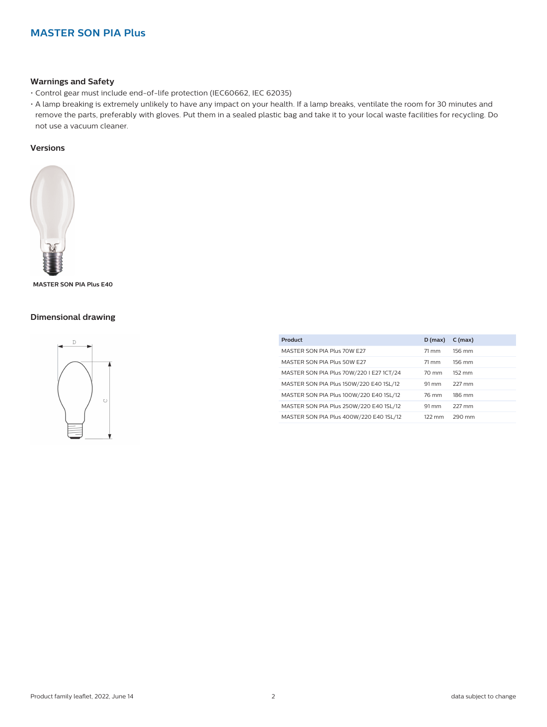#### **Warnings and Safety**

- Control gear must include end-of-life protection (IEC60662, IEC 62035)
- A lamp breaking is extremely unlikely to have any impact on your health. If a lamp breaks, ventilate the room for 30 minutes and remove the parts, preferably with gloves. Put them in a sealed plastic bag and take it to your local waste facilities for recycling. Do not use a vacuum cleaner.

#### **Versions**



**MASTER SON PIA Plus E40**

#### **Dimensional drawing**



| Product                                  | $D$ (max)         | $C$ (max) |
|------------------------------------------|-------------------|-----------|
| MASTER SON PIA Plus 70W E27              | 71 mm             | 156 mm    |
| MASTER SON PIA Plus 50W E27              | 71 mm             | 156 mm    |
| MASTER SON PIA Plus 70W/220 I E27 1CT/24 | $70 \text{ mm}$   | 152 mm    |
| MASTER SON PIA Plus 150W/220 E40 1SL/12  | 91 mm             | 227 mm    |
| MASTER SON PIA Plus 100W/220 E40 1SL/12  | 76 mm             | 186 mm    |
| MASTER SON PIA Plus 250W/220 E40 1SL/12  | $91 \, \text{mm}$ | 227 mm    |
| MASTER SON PIA Plus 400W/220 E40 1SL/12  | $122 \text{ mm}$  | 290 mm    |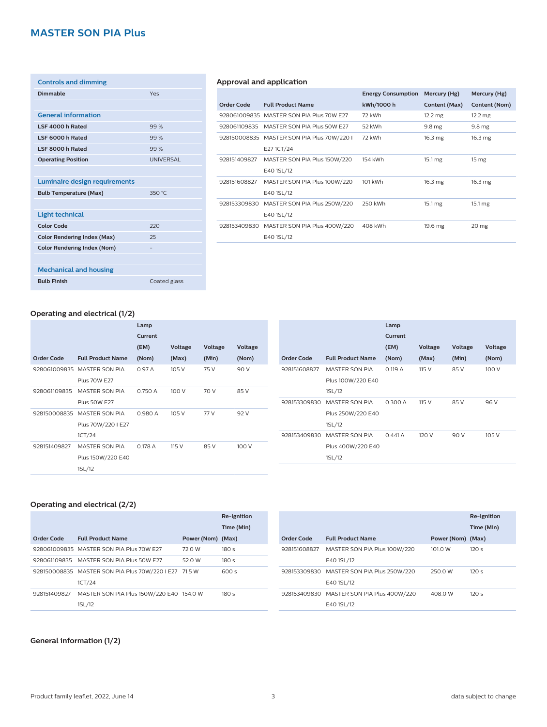| <b>Controls and dimming</b>          |                  |
|--------------------------------------|------------------|
| <b>Dimmable</b>                      | Yes              |
|                                      |                  |
| <b>General information</b>           |                  |
| LSF 4000 h Rated                     | 99%              |
| LSF 6000 h Rated                     | 99%              |
| LSF 8000 h Rated                     | 99%              |
| <b>Operating Position</b>            | <b>UNIVERSAL</b> |
|                                      |                  |
| <b>Luminaire design requirements</b> |                  |
| <b>Bulb Temperature (Max)</b>        | 350 °C           |
|                                      |                  |
| <b>Light technical</b>               |                  |
| <b>Color Code</b>                    | 220              |
| <b>Color Rendering Index (Max)</b>   | 25               |
| <b>Color Rendering Index (Nom)</b>   |                  |
|                                      |                  |
| <b>Mechanical and housing</b>        |                  |
| <b>Bulb Finish</b>                   | Coated glass     |

#### **Approval and application**

|              |                               | <b>Energy Consumption</b> | Mercury (Hg)       | Mercury (Hg)       |
|--------------|-------------------------------|---------------------------|--------------------|--------------------|
| Order Code   | <b>Full Product Name</b>      | kWh/1000 h                | Content (Max)      | Content (Nom)      |
| 928061009835 | MASTER SON PIA Plus 70W E27   | 72 kWh                    | $12.2 \text{ mg}$  | $12.2 \text{ mg}$  |
| 928061109835 | MASTER SON PIA Plus 50W E27   | 52 kWh                    | 9.8 <sub>mg</sub>  | 9.8 <sub>mg</sub>  |
| 928150008835 | MASTER SON PIA Plus 70W/220 I | 72 kWh                    | $16.3 \text{ mg}$  | $16.3 \text{ mg}$  |
|              | E271CT/24                     |                           |                    |                    |
| 928151409827 | MASTER SON PIA Plus 150W/220  | 154 kWh                   | $15.1 \text{ mg}$  | 15 <sub>mg</sub>   |
|              | E40 1SL/12                    |                           |                    |                    |
| 928151608827 | MASTER SON PIA Plus 100W/220  | 101 kWh                   | 16.3 <sub>mg</sub> | 16.3 <sub>mg</sub> |
|              | E40 1SL/12                    |                           |                    |                    |
| 928153309830 | MASTER SON PIA Plus 250W/220  | 250 kWh                   | $15.1 \text{ mg}$  | $15.1 \text{ mg}$  |
|              | E40 1SL/12                    |                           |                    |                    |
| 928153409830 | MASTER SON PIA Plus 400W/220  | 408 kWh                   | 19.6 mg            | 20 <sub>mg</sub>   |
|              | E40 1SL/12                    |                           |                    |                    |
|              |                               |                           |                    |                    |

#### **Operating and electrical (1/2)**

|              |                          | Lamp    |         |         |         |                   |
|--------------|--------------------------|---------|---------|---------|---------|-------------------|
|              |                          | Current |         |         |         |                   |
|              |                          | (EM)    | Voltage | Voltage | Voltage |                   |
| Order Code   | <b>Full Product Name</b> | (Nom)   | (Max)   | (Min)   | (Nom)   | <b>Order Code</b> |
| 928061009835 | <b>MASTER SON PIA</b>    | 0.97A   | 105 V   | 75 V    | 90 V    | 9281516088        |
|              | <b>Plus 70W E27</b>      |         |         |         |         |                   |
| 928061109835 | <b>MASTER SON PIA</b>    | 0.750 A | 100 V   | 70 V    | 85 V    |                   |
|              | <b>Plus 50W E27</b>      |         |         |         |         | 9281533098        |
| 928150008835 | MASTER SON PIA           | 0.980 A | 105V    | 77 V    | 92 V    |                   |
|              | Plus 70W/220 I E27       |         |         |         |         |                   |
|              | 1CT/24                   |         |         |         |         | 9281534098        |
| 928151409827 | MASTER SON PIA           | 0.178A  | 115 V   | 85 V    | 100 V   |                   |
|              | Plus 150W/220 E40        |         |         |         |         |                   |
|              | 1SL/12                   |         |         |         |         |                   |
|              |                          |         |         |         |         |                   |

|              |                          | Lamp    |         |         |         |
|--------------|--------------------------|---------|---------|---------|---------|
|              |                          | Current |         |         |         |
|              |                          | (EM)    | Voltage | Voltage | Voltage |
| Order Code   | <b>Full Product Name</b> | (Nom)   | (Max)   | (Min)   | (Nom)   |
| 928151608827 | MASTER SON PIA           | 0.119A  | 115 V   | 85 V    | 100 V   |
|              | Plus 100W/220 E40        |         |         |         |         |
|              | 1SL/12                   |         |         |         |         |
| 928153309830 | MASTER SON PIA           | 0.300 A | 115 V   | 85 V    | 96 V    |
|              | Plus 250W/220 E40        |         |         |         |         |
|              | 1SL/12                   |         |         |         |         |
| 928153409830 | MASTER SON PIA           | 0.441A  | 120 V   | 90 V    | 105 V   |
|              | Plus 400W/220 E40        |         |         |         |         |
|              | 1SL/12                   |         |         |         |         |
|              |                          |         |         |         |         |

#### **Operating and electrical (2/2)**

|              |                                                       |                   | <b>Re-Ignition</b> |
|--------------|-------------------------------------------------------|-------------------|--------------------|
|              |                                                       |                   | Time (Min)         |
| Order Code   | <b>Full Product Name</b>                              | Power (Nom) (Max) |                    |
|              | 928061009835 MASTER SON PIA Plus 70W E27              | 72.0 W            | 180s               |
|              | 928061109835 MASTER SON PIA Plus 50W E27              | 52.0 W            | 180s               |
|              | 928150008835 MASTER SON PIA Plus 70W/220 I E27 71.5 W |                   | 600 s              |
|              | 1CT/24                                                |                   |                    |
| 928151409827 | MASTER SON PIA Plus 150W/220 E40 154.0 W              |                   | 180s               |
|              | 1SL/12                                                |                   |                    |

| Order Code   | <b>Full Product Name</b>                                | Power (Nom) | <b>Re-Ignition</b><br>Time (Min)<br>(Max) |
|--------------|---------------------------------------------------------|-------------|-------------------------------------------|
| 928151608827 | MASTER SON PIA Plus 100W/220<br>E40 1SL/12              | 101.0 W     | 120s                                      |
| 928153309830 | MASTER SON PIA Plus 250W/220<br>E40 1SL/12              | 250.0 W     | 120s                                      |
|              | 928153409830 MASTER SON PIA Plus 400W/220<br>E40 1SL/12 | 408.0 W     | 120s                                      |

#### **General information (1/2)**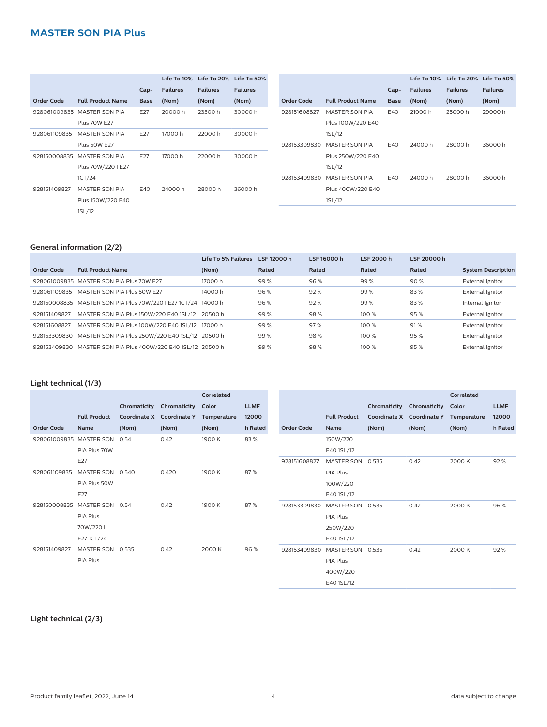|              |                             |             | Life To 10%     |                 | Life To 20% Life To 50% |              |                          |        | Life To 10%     | Life To 20% Life To 50% |                 |
|--------------|-----------------------------|-------------|-----------------|-----------------|-------------------------|--------------|--------------------------|--------|-----------------|-------------------------|-----------------|
|              |                             | $Cap-$      | <b>Failures</b> | <b>Failures</b> | <b>Failures</b>         |              |                          | $Cap-$ | <b>Failures</b> | <b>Failures</b>         | <b>Failures</b> |
| Order Code   | <b>Full Product Name</b>    | <b>Base</b> | (Nom)           | (Nom)           | (Nom)                   | Order Code   | <b>Full Product Name</b> | Base   | (Nom)           | (Nom)                   | (Nom)           |
|              | 928061009835 MASTER SON PIA | E27         | 20000h          | 23500h          | 30000h                  | 928151608827 | MASTER SON PIA           | E40    | 21000h          | 25000h                  | 29000h          |
|              | <b>Plus 70W E27</b>         |             |                 |                 |                         |              | Plus 100W/220 E40        |        |                 |                         |                 |
| 928061109835 | MASTER SON PIA              | E27         | 17000 h         | 22000h          | 30000h                  |              | 1SL/12                   |        |                 |                         |                 |
|              | <b>Plus 50W E27</b>         |             |                 |                 |                         | 928153309830 | MASTER SON PIA           | E40    | 24000h          | 28000h                  | 36000h          |
| 928150008835 | <b>MASTER SON PIA</b>       | E27         | 17000 h         | 22000h          | 30000h                  |              | Plus 250W/220 E40        |        |                 |                         |                 |
|              | Plus 70W/220 I E27          |             |                 |                 |                         |              | 1SL/12                   |        |                 |                         |                 |
|              | 1CT/24                      |             |                 |                 |                         | 928153409830 | MASTER SON PIA           | E40    | 24000 h         | 28000 h                 | 36000h          |
| 928151409827 | MASTER SON PIA              | E40         | 24000h          | 28000 h         | 36000h                  |              | Plus 400W/220 E40        |        |                 |                         |                 |
|              | Plus 150W/220 E40           |             |                 |                 |                         |              | 1SL/12                   |        |                 |                         |                 |
|              | 1SL/12                      |             |                 |                 |                         |              |                          |        |                 |                         |                 |

#### **General information (2/2)**

|              |                                                  | Life To 5% Failures | LSF 12000 h | LSF 16000 h | LSF 2000 h | LSF 20000 h |                           |
|--------------|--------------------------------------------------|---------------------|-------------|-------------|------------|-------------|---------------------------|
| Order Code   | <b>Full Product Name</b>                         | (Nom)               | Rated       | Rated       | Rated      | Rated       | <b>System Description</b> |
| 928061009835 | MASTER SON PIA Plus 70W E27                      | 17000 h             | 99%         | 96%         | 99%        | 90%         | External Ignitor          |
| 928061109835 | MASTER SON PIA Plus 50W E27                      | 14000 h             | 96%         | 92%         | 99%        | 83%         | <b>External Ignitor</b>   |
| 928150008835 | MASTER SON PIA Plus 70W/220   E27 1CT/24 14000 h |                     | 96%         | 92%         | 99%        | 83%         | Internal Ignitor          |
| 928151409827 | MASTER SON PIA Plus 150W/220 E40 1SL/12          | 20500 h             | 99%         | 98%         | 100 %      | 95%         | External Ignitor          |
| 928151608827 | MASTER SON PIA Plus 100W/220 E40 1SL/12          | 17000 h             | 99%         | 97%         | 100 %      | 91%         | <b>External Ignitor</b>   |
| 928153309830 | MASTER SON PIA Plus 250W/220 E40 1SL/12 20500 h  |                     | 99%         | 98%         | 100%       | 95%         | External Ignitor          |
| 928153409830 | MASTER SON PIA Plus 400W/220 E40 1SL/12 20500 h  |                     | 99%         | 98%         | 100 %      | 95%         | <b>External lgnitor</b>   |

#### **Light technical (1/3)**

|                   |                     |       |                           | Correlated  |             |                   |                     |              |                     | Correlated  |             |
|-------------------|---------------------|-------|---------------------------|-------------|-------------|-------------------|---------------------|--------------|---------------------|-------------|-------------|
|                   |                     |       | Chromaticity Chromaticity | Color       | <b>LLMF</b> |                   |                     | Chromaticity | Chromaticity        | Color       | <b>LLMF</b> |
|                   | <b>Full Product</b> |       | Coordinate X Coordinate Y | Temperature | 12000       |                   | <b>Full Product</b> | Coordinate X | <b>Coordinate Y</b> | Temperature | 12000       |
| <b>Order Code</b> | <b>Name</b>         | (Nom) | (Nom)                     | (Nom)       | h Rated     | <b>Order Code</b> | Name                | (Nom)        | (Nom)               | (Nom)       | h Rated     |
| 928061009835      | <b>MASTER SON</b>   | 0.54  | 0.42                      | 1900 K      | 83%         |                   | 150W/220            |              |                     |             |             |
|                   | PIA Plus 70W        |       |                           |             |             |                   | E40 1SL/12          |              |                     |             |             |
|                   | E27                 |       |                           |             |             | 928151608827      | MASTER SON 0.535    |              | 0.42                | 2000 K      | 92%         |
| 928061109835      | MASTER SON 0.540    |       | 0.420                     | 1900 K      | 87%         |                   | PIA Plus            |              |                     |             |             |
|                   | PIA Plus 50W        |       |                           |             |             |                   | 100W/220            |              |                     |             |             |
|                   | E27                 |       |                           |             |             |                   | E40 1SL/12          |              |                     |             |             |
| 928150008835      | MASTER SON 0.54     |       | 0.42                      | 1900 K      | 87%         | 928153309830      | <b>MASTER SON</b>   | 0.535        | 0.42                | 2000 K      | 96 %        |
|                   | PIA Plus            |       |                           |             |             |                   | PIA Plus            |              |                     |             |             |
|                   | 70W/2201            |       |                           |             |             |                   | 250W/220            |              |                     |             |             |
|                   | E27 1CT/24          |       |                           |             |             |                   | E40 1SL/12          |              |                     |             |             |
| 928151409827      | MASTER SON 0.535    |       | 0.42                      | 2000 K      | 96%         | 928153409830      | MASTER SON          | 0.535        | 0.42                | 2000 K      | 92%         |
|                   | PIA Plus            |       |                           |             |             |                   | PIA Plus            |              |                     |             |             |
|                   |                     |       |                           |             |             |                   | 400W/220            |              |                     |             |             |
|                   |                     |       |                           |             |             |                   | E40 1SL/12          |              |                     |             |             |

#### **Light technical (2/3)**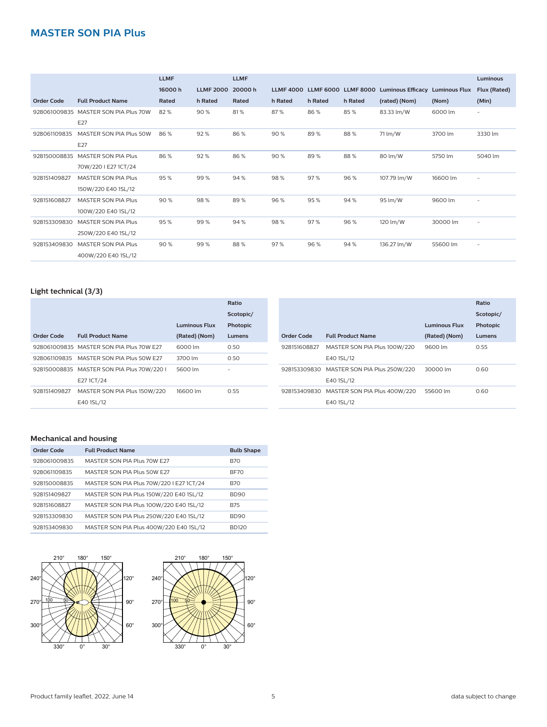|                   |                            | <b>LLMF</b> |                  | <b>LLMF</b> |                  |                  |                  |                          |                      | <b>Luminous</b>          |
|-------------------|----------------------------|-------------|------------------|-------------|------------------|------------------|------------------|--------------------------|----------------------|--------------------------|
|                   |                            | 16000h      | <b>LLMF 2000</b> | 20000h      | <b>LLMF 4000</b> | <b>LLMF 6000</b> | <b>LLMF 8000</b> | <b>Luminous Efficacy</b> | <b>Luminous Flux</b> | Flux (Rated)             |
| <b>Order Code</b> | <b>Full Product Name</b>   | Rated       | h Rated          | Rated       | h Rated          | h Rated          | h Rated          | (rated) (Nom)            | (Nom)                | (Min)                    |
| 928061009835      | MASTER SON PIA Plus 70W    | 82%         | 90%              | 81%         | 87%              | 86%              | 85%              | 83.33 lm/W               | 6000 lm              | $\overline{\phantom{0}}$ |
|                   | E27                        |             |                  |             |                  |                  |                  |                          |                      |                          |
| 928061109835      | MASTER SON PIA Plus 50W    | 86%         | 92%              | 86%         | 90%              | 89%              | 88%              | 71 lm/W                  | 3700 lm              | 3330 lm                  |
|                   | E27                        |             |                  |             |                  |                  |                  |                          |                      |                          |
| 928150008835      | <b>MASTER SON PIA Plus</b> | 86%         | 92%              | 86%         | 90%              | 89%              | 88%              | 80 lm/W                  | 5750 lm              | 5040 lm                  |
|                   | 70W/220 I E27 1CT/24       |             |                  |             |                  |                  |                  |                          |                      |                          |
| 928151409827      | <b>MASTER SON PIA Plus</b> | 95%         | 99%              | 94%         | 98%              | 97%              | 96 %             | 107.79 lm/W              | 16600 lm             | $\overline{\phantom{a}}$ |
|                   | 150W/220 E40 1SL/12        |             |                  |             |                  |                  |                  |                          |                      |                          |
| 928151608827      | <b>MASTER SON PIA Plus</b> | 90%         | 98%              | 89%         | 96%              | 95%              | 94 %             | 95 lm/W                  | 9600 lm              | -                        |
|                   | 100W/220 E40 1SL/12        |             |                  |             |                  |                  |                  |                          |                      |                          |
| 928153309830      | <b>MASTER SON PIA Plus</b> | 95%         | 99%              | 94%         | 98%              | 97%              | 96 %             | 120 lm/W                 | 30000 lm             | $\overline{\phantom{a}}$ |
|                   | 250W/220 E40 1SL/12        |             |                  |             |                  |                  |                  |                          |                      |                          |
| 928153409830      | <b>MASTER SON PIA Plus</b> | 90%         | 99%              | 88%         | 97%              | 96 %             | 94 %             | 136.27 lm/W              | 55600 lm             | $\overline{\phantom{a}}$ |
|                   | 400W/220 E40 1SL/12        |             |                  |             |                  |                  |                  |                          |                      |                          |

#### **Light technical (3/3)**

| Scotopic/ |
|-----------|
| Photopic  |
| Lumens    |
| 0.55      |
|           |
| 0.60      |
|           |
| 0.60      |
|           |
|           |

#### **Mechanical and housing**

| Order Code   | <b>Full Product Name</b>                 | <b>Bulb Shape</b> |
|--------------|------------------------------------------|-------------------|
| 928061009835 | MASTER SON PIA Plus 70W E27              | <b>B70</b>        |
| 928061109835 | MASTER SON PIA Plus 50W F27              | BF70              |
| 928150008835 | MASTER SON PIA Plus 70W/220 I E27 1CT/24 | <b>B70</b>        |
| 928151409827 | MASTER SON PIA Plus 150W/220 E40 1SL/12  | <b>BD90</b>       |
| 928151608827 | MASTER SON PIA Plus 100W/220 E40 1SL/12  | <b>B75</b>        |
| 928153309830 | MASTER SON PIA Plus 250W/220 E40 1SL/12  | <b>BD90</b>       |
| 928153409830 | MASTER SON PIA Plus 400W/220 E40 1SL/12  | <b>BD120</b>      |